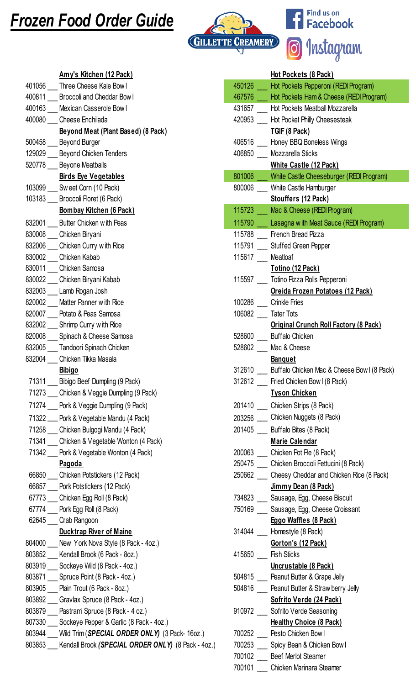## Frozen Food Order Guide



Find us on<br>**Facebook** Ŧ <sup>o</sup> Instagram

|        | Amy's Kitchen (12 Pack)                            |        | Hot Pockets (8 Pack)                               |
|--------|----------------------------------------------------|--------|----------------------------------------------------|
| 401056 | Three Cheese Kale Bow I                            | 450126 | Hot Pockets Pepperoni (REDI Program)               |
| 400811 | <b>Broccoli and Cheddar Bowl</b>                   | 467576 | Hot Pockets Ham & Cheese (REDI Progra              |
| 400163 | Mexican Casserole Bowl                             | 431657 | <b>Hot Pockets Meatball Mozzarella</b>             |
| 400080 | Cheese Enchilada                                   | 420953 | Hot Pocket Philly Cheesesteak                      |
|        | Beyond Meat (Plant Based) (8 Pack)                 |        | TGIF (8 Pack)                                      |
| 500458 | <b>Beyond Burger</b>                               | 406516 | Honey BBQ Boneless Wings                           |
| 129029 | <b>Beyond Chicken Tenders</b>                      | 406850 | Mozzarella Sticks                                  |
| 520778 | <b>Beyone Meatballs</b>                            |        | White Castle (12 Pack)                             |
|        | <b>Birds Eye Vegetables</b>                        | 801006 | White Castle Cheeseburger (REDI Progra             |
| 103099 | Sweet Corn (10 Pack)                               | 800006 | White Castle Hamburger                             |
| 103183 | Broccoli Floret (6 Pack)                           |        | Stouffers (12 Pack)                                |
|        | Bombay Kitchen (6 Pack)                            | 115723 | Mac & Cheese (REDI Program)                        |
| 832001 | Butter Chicken with Peas                           | 115790 | Lasagna with Meat Sauce (REDI Program              |
| 830008 | Chicken Biryani                                    | 115788 | French Bread Pizza                                 |
| 832006 | Chicken Curry with Rice                            | 115791 | <b>Stuffed Green Pepper</b>                        |
| 830002 | Chicken Kabab                                      | 115617 | Meatloaf                                           |
| 830011 | Chicken Samosa                                     |        | Totino (12 Pack)                                   |
| 830022 | Chicken Biryani Kabab                              | 115597 | Totino Pizza Rolls Pepperoni                       |
|        | 832003 Lamb Rogan Josh                             |        | Oreida Frozen Potatoes (12 Pack)                   |
| 820002 | Matter Panner with Rice                            | 100286 | <b>Crinkle Fries</b>                               |
| 820007 | Potato & Peas Samosa                               | 106082 | <b>Tater Tots</b>                                  |
| 832002 | Shrimp Curry with Rice                             |        | <b>Original Crunch Roll Factory (8 Pack)</b>       |
| 820008 | Spinach & Cheese Samosa                            | 528600 | <b>Buffalo Chicken</b>                             |
|        | 832005 Tandoori Spinach Chicken                    | 528602 | Mac & Cheese                                       |
| 832004 | Chicken Tikka Masala                               |        | <b>Banquet</b>                                     |
|        | <b>Bibigo</b>                                      | 312610 | Buffalo Chicken Mac & Cheese Bow I (8 Formation 1) |
| 71311  | Bibigo Beef Dumpling (9 Pack)                      | 312612 | Fried Chicken Bow I (8 Pack)                       |
| 71273  | Chicken & Veggie Dumpling (9 Pack)                 |        | <b>Tyson Chicken</b>                               |
| 71274  | Pork & Veggie Dumpling (9 Pack)                    | 201410 | Chicken Strips (8 Pack)                            |
| 71322  | Pork & Vegetable Mandu (4 Pack)                    | 203256 | Chicken Nuggets (8 Pack)                           |
| 71258  | Chicken Bulgogi Mandu (4 Pack)                     | 201405 | Buffalo Bites (8 Pack)                             |
|        | 71341 Chicken & Vegetable Wonton (4 Pack)          |        | <b>Marie Calendar</b>                              |
| 71342  | Pork & Vegetable Wonton (4 Pack)                   | 200063 | Chicken Pot Pie (8 Pack)                           |
|        | <b>Pagoda</b>                                      | 250475 | Chicken Broccoli Fettucini (8 Pack)                |
| 66850  | Chicken Potstickers (12 Pack)                      | 250662 | Cheesy Cheddar and Chicken Rice (8 Pa              |
| 66857  | Pork Potstickers (12 Pack)                         |        | Jimmy Dean (8 Pack)                                |
|        | 67773 Chicken Egg Roll (8 Pack)                    | 734823 | Sausage, Egg, Cheese Biscuit                       |
| 67774  | Pork Egg Roll (8 Pack)                             | 750169 | Sausage, Egg, Cheese Croissant                     |
| 62645  | Crab Rangoon                                       |        | Eggo Waffles (8 Pack)                              |
|        | <b>Ducktrap River of Maine</b>                     | 314044 | Homestyle (8 Pack)                                 |
| 804000 | New York Nova Style (8 Pack - 4oz.)                |        | Gorton's (12 Pack)                                 |
| 803852 | Kendall Brook (6 Pack - 8oz.)                      | 415650 | <b>Fish Sticks</b>                                 |
| 803919 | Sockeye Wild (8 Pack - 4oz.)                       |        | Uncrustable (8 Pack)                               |
| 803871 |                                                    | 504815 |                                                    |
|        | Spruce Point (8 Pack - 4oz.)                       | 504816 | Peanut Butter & Grape Jelly                        |
| 803892 | 803905 __ Plain Trout (6 Pack - 8oz.)              |        | Peanut Butter & Straw berry Jelly                  |
|        | Gravlax Spruce (8 Pack - 4oz.)                     |        | Sofrito Verde (24 Pack)                            |
| 803879 | Pastrami Spruce (8 Pack - 4 oz.)                   | 910972 | Sofrito Verde Seasoning                            |
| 807330 | Sockeye Pepper & Garlic (8 Pack - 4oz.)            |        | <b>Healthy Choice (8 Pack)</b>                     |
| 803944 | Wild Trim (SPECIAL ORDER ONLY) (3 Pack- 16oz.)     | 700252 | Pesto Chicken Bow I                                |
| 803853 | Kendall Brook (SPECIAL ORDER ONLY) (8 Pack - 4oz.) | 700253 | Spicy Bean & Chicken Bowl                          |

|        | Amy's Kitchen (12 Pack)                            |        | Hot Pockets (8 Pack)                         |
|--------|----------------------------------------------------|--------|----------------------------------------------|
| 401056 | Three Cheese Kale Bow I                            | 450126 | Hot Pockets Pepperoni (REDI Program)         |
| 400811 | <b>Broccoli and Cheddar Bowl</b>                   | 467576 | Hot Pockets Ham & Cheese (REDI Program)      |
| 400163 | Mexican Casserole Bowl                             | 431657 | Hot Pockets Meatball Mozzarella              |
| 400080 | Cheese Enchilada                                   | 420953 | Hot Pocket Philly Cheesesteak                |
|        | Beyond Meat (Plant Based) (8 Pack)                 |        | TGIF (8 Pack)                                |
| 500458 | <b>Beyond Burger</b>                               | 406516 | Honey BBQ Boneless Wings                     |
| 129029 | <b>Beyond Chicken Tenders</b>                      | 406850 | Mozzarella Sticks                            |
| 520778 | <b>Beyone Meatballs</b>                            |        | <b>White Castle (12 Pack)</b>                |
|        | <b>Birds Eye Vegetables</b>                        | 801006 | White Castle Cheeseburger (REDI Program)     |
| 103099 | Sweet Corn (10 Pack)                               | 800006 | White Castle Hamburger                       |
| 103183 | Broccoli Floret (6 Pack)                           |        | Stouffers (12 Pack)                          |
|        | Bombay Kitchen (6 Pack)                            | 115723 | Mac & Cheese (REDI Program)                  |
| 832001 | Butter Chicken with Peas                           | 115790 | Lasagna with Meat Sauce (REDI Program)       |
| 830008 | Chicken Biryani                                    | 115788 | French Bread Pizza                           |
| 832006 | Chicken Curry with Rice                            | 115791 | <b>Stuffed Green Pepper</b>                  |
| 830002 | Chicken Kabab                                      | 115617 | Meatloaf                                     |
| 830011 | Chicken Samosa                                     |        | Totino (12 Pack)                             |
| 830022 | Chicken Biryani Kabab                              | 115597 | Totino Pizza Rolls Pepperoni                 |
| 832003 | Lamb Rogan Josh                                    |        | Oreida Frozen Potatoes (12 Pack)             |
| 820002 | Matter Panner with Rice                            | 100286 | <b>Crinkle Fries</b>                         |
| 820007 | Potato & Peas Samosa                               | 106082 | <b>Tater Tots</b>                            |
| 832002 | Shrimp Curry with Rice                             |        | <b>Original Crunch Roll Factory (8 Pack)</b> |
| 820008 | Spinach & Cheese Samosa                            | 528600 | <b>Buffalo Chicken</b>                       |
| 832005 | Tandoori Spinach Chicken                           | 528602 | Mac & Cheese                                 |
| 832004 | Chicken Tikka Masala                               |        | <b>Banquet</b>                               |
|        | <b>Bibigo</b>                                      | 312610 | Buffalo Chicken Mac & Cheese Bow I (8 Pack)  |
|        | 71311 Bibigo Beef Dumpling (9 Pack)                | 312612 | Fried Chicken Bow I (8 Pack)                 |
|        | 71273 Chicken & Veggie Dumpling (9 Pack)           |        | <b>Tyson Chicken</b>                         |
|        | 71274 Pork & Veggie Dumpling (9 Pack)              | 201410 | Chicken Strips (8 Pack)                      |
|        | 71322 __ Pork & Vegetable Mandu (4 Pack)           | 203256 | Chicken Nuggets (8 Pack)                     |
|        | 71258 Chicken Bulgogi Mandu (4 Pack)               | 201405 | Buffalo Bites (8 Pack)                       |
| 71341  | Chicken & Vegetable Wonton (4 Pack)                |        | <b>Marie Calendar</b>                        |
|        | 71342 Pork & Vegetable Wonton (4 Pack)             | 200063 | Chicken Pot Pie (8 Pack)                     |
|        | Pagoda                                             | 250475 | Chicken Broccoli Fettucini (8 Pack)          |
| 66850  | Chicken Potstickers (12 Pack)                      | 250662 | Cheesy Cheddar and Chicken Rice (8 Pack)     |
|        | 66857 Pork Potstickers (12 Pack)                   |        | Jimmy Dean (8 Pack)                          |
|        | 67773 Chicken Egg Roll (8 Pack)                    | 734823 | Sausage, Egg, Cheese Biscuit                 |
|        | 67774 Pork Egg Roll (8 Pack)                       | 750169 | Sausage, Egg, Cheese Croissant               |
| 62645  | Crab Rangoon                                       |        | <b>Eggo Waffles (8 Pack)</b>                 |
|        | <b>Ducktrap River of Maine</b>                     | 314044 | Homestyle (8 Pack)                           |
| 804000 | New York Nova Style (8 Pack - 4oz.)                |        | Gorton's (12 Pack)                           |
| 803852 | Kendall Brook (6 Pack - 8oz.)                      | 415650 | <b>Fish Sticks</b>                           |
| 803919 | Sockeye Wild (8 Pack - 4oz.)                       |        | Uncrustable (8 Pack)                         |
| 803871 | Spruce Point (8 Pack - 4oz.)                       | 504815 | Peanut Butter & Grape Jelly                  |
| 803905 | Plain Trout (6 Pack - 8oz.)                        | 504816 | Peanut Butter & Straw berry Jelly            |
| 803892 | Gravlax Spruce (8 Pack - 4oz.)                     |        | Sofrito Verde (24 Pack)                      |
| 803879 | Pastrami Spruce (8 Pack - 4 oz.)                   | 910972 | Sofrito Verde Seasoning                      |
| 807330 | Sockeye Pepper & Garlic (8 Pack - 4oz.)            |        | <b>Healthy Choice (8 Pack)</b>               |
| 803944 | Wild Trim (SPECIAL ORDER ONLY) (3 Pack- 16oz.)     | 700252 | Pesto Chicken Bow I                          |
| 803853 | Kendall Brook (SPECIAL ORDER ONLY) (8 Pack - 4oz.) | 700253 | Spicy Bean & Chicken Bowl                    |
|        |                                                    | 700102 | <b>Beef Merlot Steamer</b>                   |
|        |                                                    | 700101 | Chicken Marinara Steamer                     |
|        |                                                    |        |                                              |